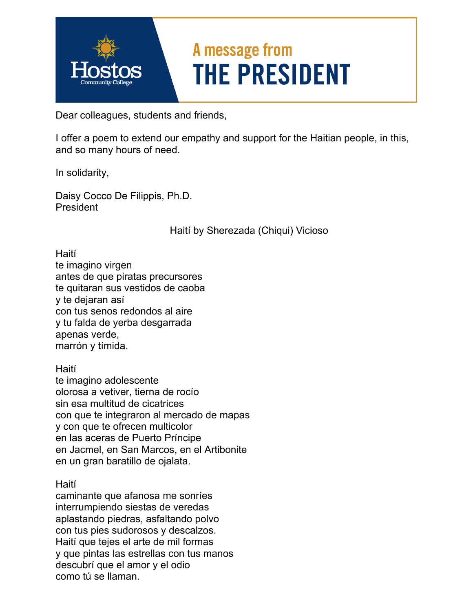

Dear colleagues, students and friends,

I offer a poem to extend our empathy and support for the Haitian people, in this, and so many hours of need.

In solidarity,

Daisy Cocco De Filippis, Ph.D. President

Haití by Sherezada (Chiqui) Vicioso

Haití te imagino virgen antes de que piratas precursores te quitaran sus vestidos de caoba y te dejaran así con tus senos redondos al aire y tu falda de yerba desgarrada apenas verde, marrón y tímida.

Haití

te imagino adolescente olorosa a vetiver, tierna de rocío sin esa multitud de cicatrices con que te integraron al mercado de mapas y con que te ofrecen multicolor en las aceras de Puerto Príncipe en Jacmel, en San Marcos, en el Artibonite en un gran baratillo de ojalata.

Haití

caminante que afanosa me sonríes interrumpiendo siestas de veredas aplastando piedras, asfaltando polvo con tus pies sudorosos y descalzos. Haití que tejes el arte de mil formas y que pintas las estrellas con tus manos descubrí que el amor y el odio como tú se llaman.